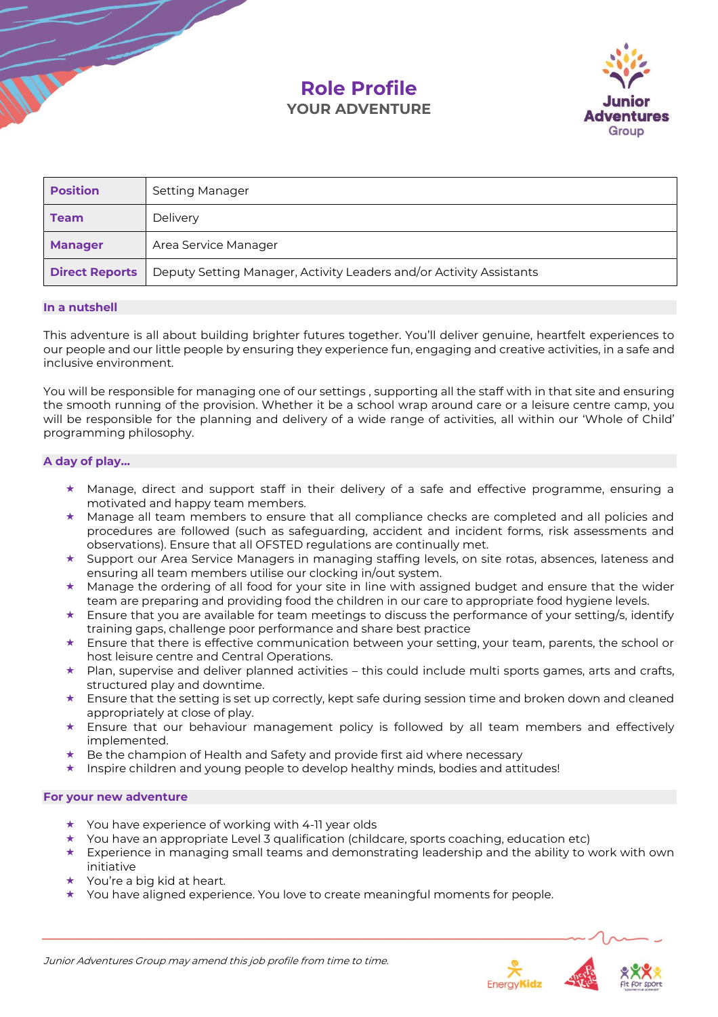# **Role Profile YOUR ADVENTURE**



| <b>Position</b>       | Setting Manager                                                     |
|-----------------------|---------------------------------------------------------------------|
| <b>Team</b>           | Delivery                                                            |
| <b>Manager</b>        | Area Service Manager                                                |
| <b>Direct Reports</b> | Deputy Setting Manager, Activity Leaders and/or Activity Assistants |

## **In a nutshell**

This adventure is all about building brighter futures together. You'll deliver genuine, heartfelt experiences to our people and our little people by ensuring they experience fun, engaging and creative activities, in a safe and inclusive environment.

You will be responsible for managing one of our settings , supporting all the staff with in that site and ensuring the smooth running of the provision. Whether it be a school wrap around care or a leisure centre camp, you will be responsible for the planning and delivery of a wide range of activities, all within our 'Whole of Child' programming philosophy.

# **A day of play…**

- $\star$  Manage, direct and support staff in their delivery of a safe and effective programme, ensuring a motivated and happy team members.
- $\star$  Manage all team members to ensure that all compliance checks are completed and all policies and procedures are followed (such as safeguarding, accident and incident forms, risk assessments and observations). Ensure that all OFSTED regulations are continually met.
- $\star$  Support our Area Service Managers in managing staffing levels, on site rotas, absences, lateness and ensuring all team members utilise our clocking in/out system.
- $\star$  Manage the ordering of all food for your site in line with assigned budget and ensure that the wider team are preparing and providing food the children in our care to appropriate food hygiene levels.
- $\star$  Ensure that you are available for team meetings to discuss the performance of your setting/s, identify training gaps, challenge poor performance and share best practice
- $\star$  Ensure that there is effective communication between your setting, your team, parents, the school or host leisure centre and Central Operations.
- $\star$  Plan, supervise and deliver planned activities this could include multi sports games, arts and crafts, structured play and downtime.
- $\star$  Ensure that the setting is set up correctly, kept safe during session time and broken down and cleaned appropriately at close of play.
- Ensure that our behaviour management policy is followed by all team members and effectively implemented.
- Be the champion of Health and Safety and provide first aid where necessary
- $\star$  Inspire children and young people to develop healthy minds, bodies and attitudes!

## **For your new adventure**

- ★ You have experience of working with 4-11 year olds
- You have an appropriate Level 3 qualification (childcare, sports coaching, education etc)
- $\star$  Experience in managing small teams and demonstrating leadership and the ability to work with own initiative
- $\star$  You're a big kid at heart.
- $\star$  You have aligned experience. You love to create meaningful moments for people.

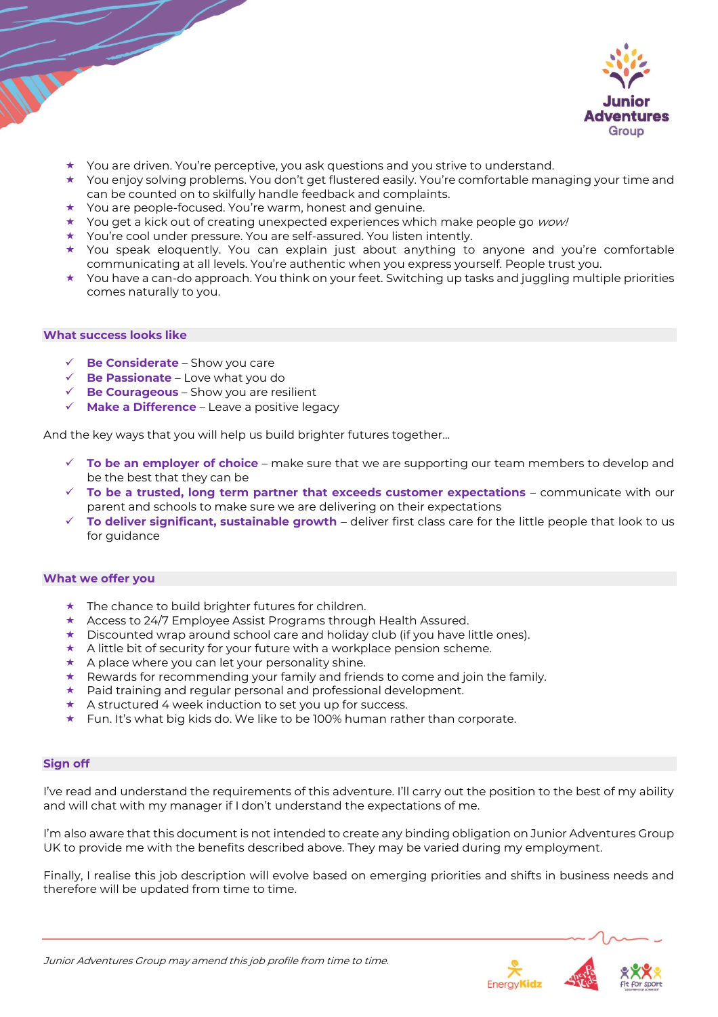

- You are driven. You're perceptive, you ask questions and you strive to understand.
- You enjoy solving problems. You don't get flustered easily. You're comfortable managing your time and can be counted on to skilfully handle feedback and complaints.
- $\star$  You are people-focused. You're warm, honest and genuine.
- $\star$  You get a kick out of creating unexpected experiences which make people go *wow!*
- You're cool under pressure. You are self-assured. You listen intently.
- You speak eloquently. You can explain just about anything to anyone and you're comfortable communicating at all levels. You're authentic when you express yourself. People trust you.
- $\star$  You have a can-do approach. You think on your feet. Switching up tasks and juggling multiple priorities comes naturally to you.

#### **What success looks like**

- ✓ **Be Considerate** Show you care
- ✓ **Be Passionate** Love what you do
- ✓ **Be Courageous** Show you are resilient
- ✓ **Make a Difference** Leave a positive legacy

And the key ways that you will help us build brighter futures together…

- ✓ **To be an employer of choice** make sure that we are supporting our team members to develop and be the best that they can be
- ✓ **To be a trusted, long term partner that exceeds customer expectations** communicate with our parent and schools to make sure we are delivering on their expectations
- ✓ **To deliver significant, sustainable growth**  deliver first class care for the little people that look to us for guidance

#### **What we offer you**

- $\star$  The chance to build brighter futures for children.
- $\star$  Access to 24/7 Employee Assist Programs through Health Assured.
- $\star$  Discounted wrap around school care and holiday club (if you have little ones).
- $\star$  A little bit of security for your future with a workplace pension scheme.
- $\star$  A place where you can let your personality shine.
- $\star$  Rewards for recommending your family and friends to come and join the family.
- Paid training and regular personal and professional development.
- A structured 4 week induction to set you up for success.
- ★ Fun. It's what big kids do. We like to be 100% human rather than corporate.

# **Sign off**

I've read and understand the requirements of this adventure. I'll carry out the position to the best of my ability and will chat with my manager if I don't understand the expectations of me.

I'm also aware that this document is not intended to create any binding obligation on Junior Adventures Group UK to provide me with the benefits described above. They may be varied during my employment.

Finally, I realise this job description will evolve based on emerging priorities and shifts in business needs and therefore will be updated from time to time.